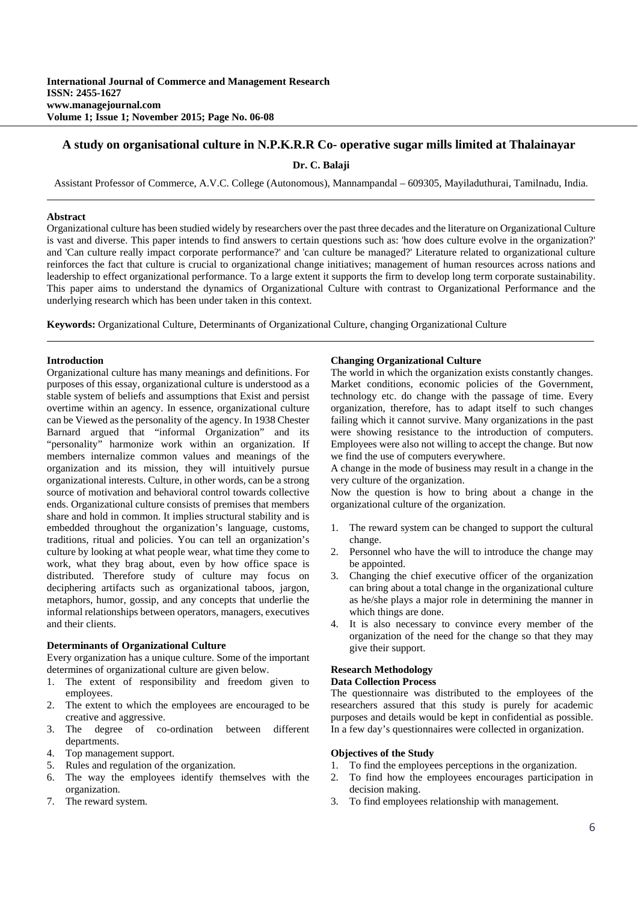## **A study on organisational culture in N.P.K.R.R Co- operative sugar mills limited at Thalainayar**

**Dr. C. Balaji** 

Assistant Professor of Commerce, A.V.C. College (Autonomous), Mannampandal – 609305, Mayiladuthurai, Tamilnadu, India.

### **Abstract**

Organizational culture has been studied widely by researchers over the past three decades and the literature on Organizational Culture is vast and diverse. This paper intends to find answers to certain questions such as: 'how does culture evolve in the organization?' and 'Can culture really impact corporate performance?' and 'can culture be managed?' Literature related to organizational culture reinforces the fact that culture is crucial to organizational change initiatives; management of human resources across nations and leadership to effect organizational performance. To a large extent it supports the firm to develop long term corporate sustainability. This paper aims to understand the dynamics of Organizational Culture with contrast to Organizational Performance and the underlying research which has been under taken in this context.

**Keywords:** Organizational Culture, Determinants of Organizational Culture, changing Organizational Culture

### **Introduction**

Organizational culture has many meanings and definitions. For purposes of this essay, organizational culture is understood as a stable system of beliefs and assumptions that Exist and persist overtime within an agency. In essence, organizational culture can be Viewed as the personality of the agency. In 1938 Chester Barnard argued that "informal Organization" and its "personality" harmonize work within an organization. If members internalize common values and meanings of the organization and its mission, they will intuitively pursue organizational interests. Culture, in other words, can be a strong source of motivation and behavioral control towards collective ends. Organizational culture consists of premises that members share and hold in common. It implies structural stability and is embedded throughout the organization's language, customs, traditions, ritual and policies. You can tell an organization's culture by looking at what people wear, what time they come to work, what they brag about, even by how office space is distributed. Therefore study of culture may focus on deciphering artifacts such as organizational taboos, jargon, metaphors, humor, gossip, and any concepts that underlie the informal relationships between operators, managers, executives and their clients.

### **Determinants of Organizational Culture**

Every organization has a unique culture. Some of the important determines of organizational culture are given below.

- 1. The extent of responsibility and freedom given to employees.
- 2. The extent to which the employees are encouraged to be creative and aggressive.
- 3. The degree of co-ordination between different departments.
- 4. Top management support.
- 5. Rules and regulation of the organization.
- 6. The way the employees identify themselves with the organization.
- 7. The reward system.

#### **Changing Organizational Culture**

The world in which the organization exists constantly changes. Market conditions, economic policies of the Government, technology etc. do change with the passage of time. Every organization, therefore, has to adapt itself to such changes failing which it cannot survive. Many organizations in the past were showing resistance to the introduction of computers. Employees were also not willing to accept the change. But now we find the use of computers everywhere.

A change in the mode of business may result in a change in the very culture of the organization.

Now the question is how to bring about a change in the organizational culture of the organization.

- 1. The reward system can be changed to support the cultural change.
- 2. Personnel who have the will to introduce the change may be appointed.
- 3. Changing the chief executive officer of the organization can bring about a total change in the organizational culture as he/she plays a major role in determining the manner in which things are done.
- 4. It is also necessary to convince every member of the organization of the need for the change so that they may give their support.

## **Research Methodology**

#### **Data Collection Process**

The questionnaire was distributed to the employees of the researchers assured that this study is purely for academic purposes and details would be kept in confidential as possible. In a few day's questionnaires were collected in organization.

#### **Objectives of the Study**

- 1. To find the employees perceptions in the organization.
- 2. To find how the employees encourages participation in decision making.
- 3. To find employees relationship with management.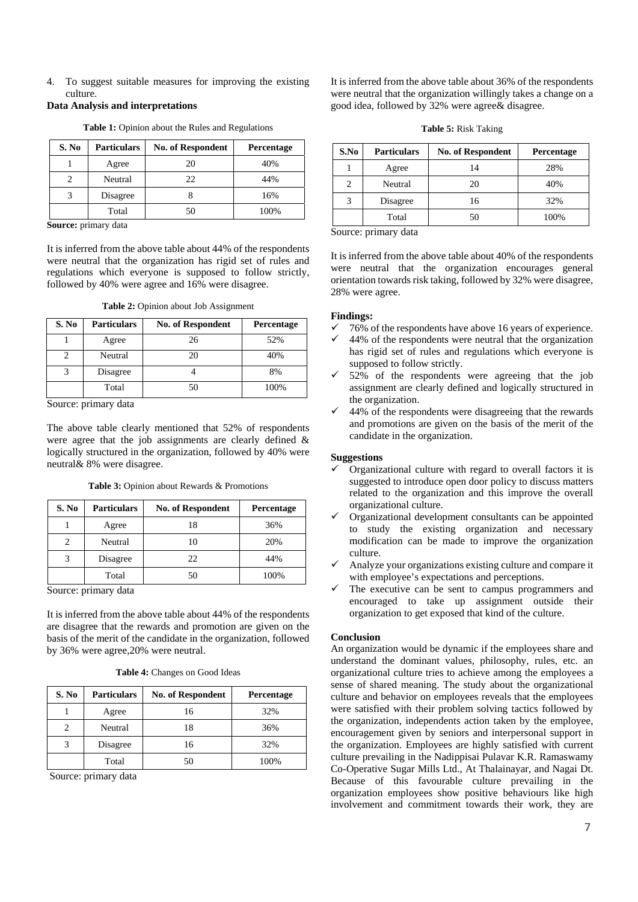4. To suggest suitable measures for improving the existing culture.

## **Data Analysis and interpretations**

| S. No | <b>Particulars</b> | <b>No. of Respondent</b> | Percentage |
|-------|--------------------|--------------------------|------------|
|       | Agree              | 20                       | 40%        |
| 2     | Neutral            | 22                       | 44%        |
| 3     | Disagree           |                          | 16%        |
|       | Total              | 50                       | 100%       |

**Table 1:** Opinion about the Rules and Regulations

**Source:** primary data

It is inferred from the above table about 44% of the respondents were neutral that the organization has rigid set of rules and regulations which everyone is supposed to follow strictly, followed by 40% were agree and 16% were disagree.

**Table 2:** Opinion about Job Assignment

| S. No | <b>Particulars</b> | <b>No. of Respondent</b> | Percentage |
|-------|--------------------|--------------------------|------------|
|       | Agree              | 26                       | 52%        |
|       | Neutral            | 20                       | 40%        |
|       | Disagree           |                          | 8%         |
|       | Total              | 50                       | 100%       |

Source: primary data

The above table clearly mentioned that 52% of respondents were agree that the job assignments are clearly defined & logically structured in the organization, followed by 40% were neutral& 8% were disagree.

|  |  | <b>Table 3:</b> Opinion about Rewards & Promotions |
|--|--|----------------------------------------------------|
|--|--|----------------------------------------------------|

| S. No | <b>Particulars</b> | <b>No. of Respondent</b> | <b>Percentage</b> |
|-------|--------------------|--------------------------|-------------------|
|       | Agree              | 18                       | 36%               |
| 2     | Neutral            |                          | 20%               |
|       | Disagree           | 22                       | 44%               |
|       | Total              | 50                       | 100%              |

Source: primary data

It is inferred from the above table about 44% of the respondents are disagree that the rewards and promotion are given on the basis of the merit of the candidate in the organization, followed by 36% were agree,20% were neutral.

| <b>Table 4:</b> Changes on Good Ideas |
|---------------------------------------|
|---------------------------------------|

| S. No | <b>Particulars</b> | <b>No. of Respondent</b> | <b>Percentage</b> |
|-------|--------------------|--------------------------|-------------------|
|       | Agree              | 16                       | 32%               |
| 2     | Neutral            | 18                       | 36%               |
|       | Disagree           | 16                       | 32%               |
|       | Total              | 50                       | 100%              |

Source: primary data

It is inferred from the above table about 36% of the respondents were neutral that the organization willingly takes a change on a good idea, followed by 32% were agree& disagree.

**Table 5:** Risk Taking

| S.No | <b>Particulars</b> | <b>No. of Respondent</b> | Percentage |
|------|--------------------|--------------------------|------------|
|      | Agree              | 14                       | 28%        |
| 2    | Neutral            | 20                       | 40%        |
| 3    | Disagree           | 16                       | 32%        |
|      | Total              | 50                       | 100%       |

Source: primary data

It is inferred from the above table about 40% of the respondents were neutral that the organization encourages general orientation towards risk taking, followed by 32% were disagree, 28% were agree.

## **Findings:**

- $\checkmark$  76% of the respondents have above 16 years of experience.
- $\checkmark$  44% of the respondents were neutral that the organization has rigid set of rules and regulations which everyone is supposed to follow strictly.
- $\checkmark$  52% of the respondents were agreeing that the job assignment are clearly defined and logically structured in the organization.
- $\checkmark$  44% of the respondents were disagreeing that the rewards and promotions are given on the basis of the merit of the candidate in the organization.

# **Suggestions**

- Organizational culture with regard to overall factors it is suggested to introduce open door policy to discuss matters related to the organization and this improve the overall organizational culture.
- $\checkmark$  Organizational development consultants can be appointed to study the existing organization and necessary modification can be made to improve the organization culture.
- $\checkmark$  Analyze your organizations existing culture and compare it with employee's expectations and perceptions.
- The executive can be sent to campus programmers and encouraged to take up assignment outside their organization to get exposed that kind of the culture.

## **Conclusion**

An organization would be dynamic if the employees share and understand the dominant values, philosophy, rules, etc. an organizational culture tries to achieve among the employees a sense of shared meaning. The study about the organizational culture and behavior on employees reveals that the employees were satisfied with their problem solving tactics followed by the organization, independents action taken by the employee, encouragement given by seniors and interpersonal support in the organization. Employees are highly satisfied with current culture prevailing in the Nadippisai Pulavar K.R. Ramaswamy Co-Operative Sugar Mills Ltd., At Thalainayar, and Nagai Dt. Because of this favourable culture prevailing in the organization employees show positive behaviours like high involvement and commitment towards their work, they are